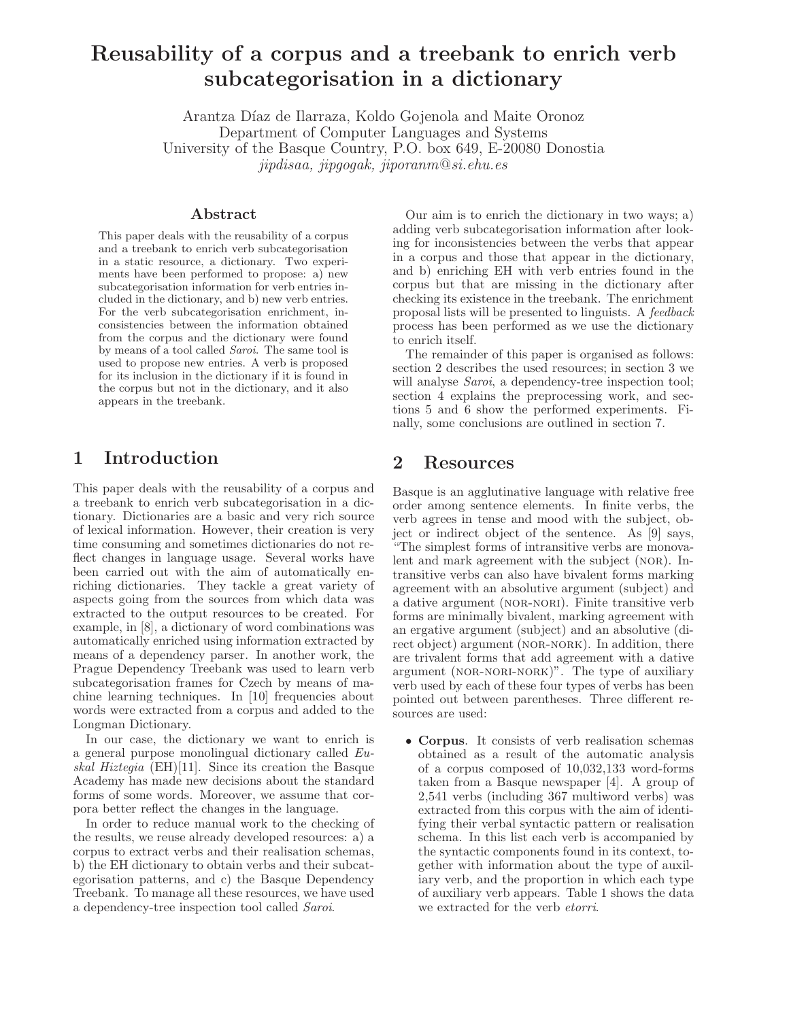# Reusability of a corpus and a treebank to enrich verb subcategorisation in a dictionary

Arantza Díaz de Ilarraza, Koldo Gojenola and Maite Oronoz Department of Computer Languages and Systems University of the Basque Country, P.O. box 649, E-20080 Donostia jipdisaa, jipgogak, jiporanm@si.ehu.es

#### Abstract

This paper deals with the reusability of a corpus and a treebank to enrich verb subcategorisation in a static resource, a dictionary. Two experiments have been performed to propose: a) new subcategorisation information for verb entries included in the dictionary, and b) new verb entries. For the verb subcategorisation enrichment, inconsistencies between the information obtained from the corpus and the dictionary were found by means of a tool called Saroi. The same tool is used to propose new entries. A verb is proposed for its inclusion in the dictionary if it is found in the corpus but not in the dictionary, and it also appears in the treebank.

### 1 Introduction

This paper deals with the reusability of a corpus and a treebank to enrich verb subcategorisation in a dictionary. Dictionaries are a basic and very rich source of lexical information. However, their creation is very time consuming and sometimes dictionaries do not reflect changes in language usage. Several works have been carried out with the aim of automatically enriching dictionaries. They tackle a great variety of aspects going from the sources from which data was extracted to the output resources to be created. For example, in [8], a dictionary of word combinations was automatically enriched using information extracted by means of a dependency parser. In another work, the Prague Dependency Treebank was used to learn verb subcategorisation frames for Czech by means of machine learning techniques. In [10] frequencies about words were extracted from a corpus and added to the Longman Dictionary.

In our case, the dictionary we want to enrich is a general purpose monolingual dictionary called Euskal Hiztegia (EH)[11]. Since its creation the Basque Academy has made new decisions about the standard forms of some words. Moreover, we assume that corpora better reflect the changes in the language.

In order to reduce manual work to the checking of the results, we reuse already developed resources: a) a corpus to extract verbs and their realisation schemas, b) the EH dictionary to obtain verbs and their subcategorisation patterns, and c) the Basque Dependency Treebank. To manage all these resources, we have used a dependency-tree inspection tool called Saroi.

Our aim is to enrich the dictionary in two ways; a) adding verb subcategorisation information after looking for inconsistencies between the verbs that appear in a corpus and those that appear in the dictionary, and b) enriching EH with verb entries found in the corpus but that are missing in the dictionary after checking its existence in the treebank. The enrichment proposal lists will be presented to linguists. A feedback process has been performed as we use the dictionary to enrich itself.

The remainder of this paper is organised as follows: section 2 describes the used resources; in section 3 we will analyse *Saroi*, a dependency-tree inspection tool; section 4 explains the preprocessing work, and sections 5 and 6 show the performed experiments. Finally, some conclusions are outlined in section 7.

# 2 Resources

Basque is an agglutinative language with relative free order among sentence elements. In finite verbs, the verb agrees in tense and mood with the subject, object or indirect object of the sentence. As [9] says, "The simplest forms of intransitive verbs are monovalent and mark agreement with the subject (nor). Intransitive verbs can also have bivalent forms marking agreement with an absolutive argument (subject) and a dative argument (nor-nori). Finite transitive verb forms are minimally bivalent, marking agreement with an ergative argument (subject) and an absolutive (direct object) argument (NOR-NORK). In addition, there are trivalent forms that add agreement with a dative argument (NOR-NORI-NORK)". The type of auxiliary verb used by each of these four types of verbs has been pointed out between parentheses. Three different resources are used:

• Corpus. It consists of verb realisation schemas obtained as a result of the automatic analysis of a corpus composed of 10,032,133 word-forms taken from a Basque newspaper [4]. A group of 2,541 verbs (including 367 multiword verbs) was extracted from this corpus with the aim of identifying their verbal syntactic pattern or realisation schema. In this list each verb is accompanied by the syntactic components found in its context, together with information about the type of auxiliary verb, and the proportion in which each type of auxiliary verb appears. Table 1 shows the data we extracted for the verb etorri.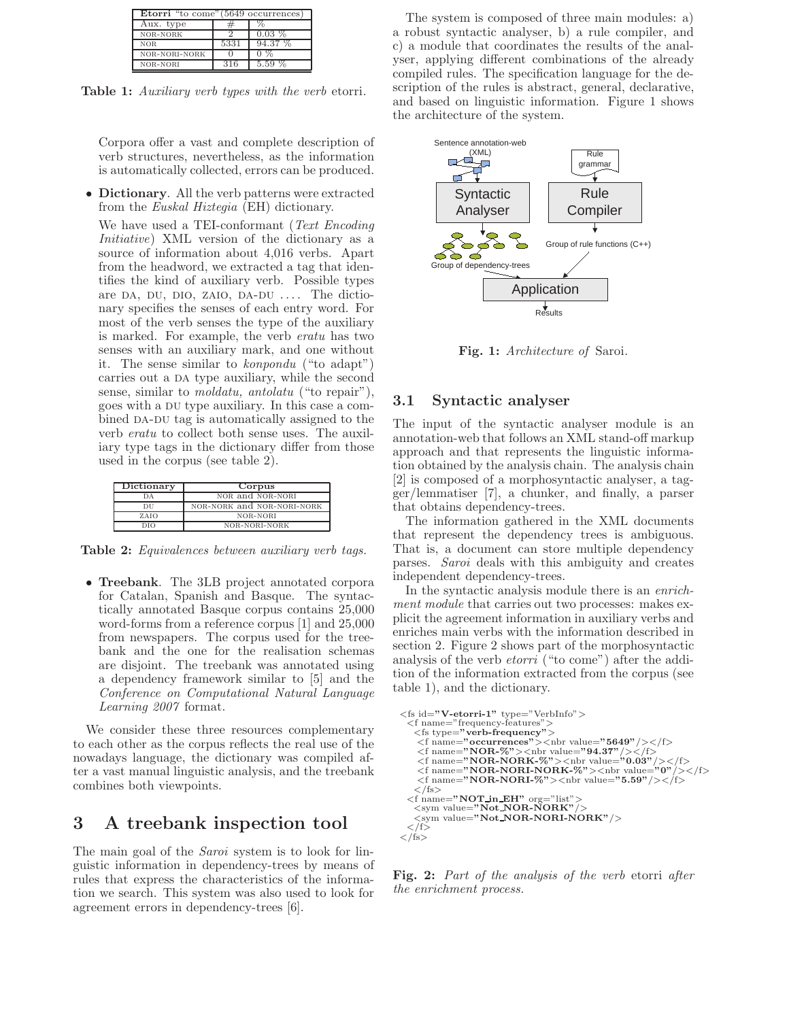| <b>Etorri</b> "to come" (5649 occurrences) |      |          |  |  |  |  |
|--------------------------------------------|------|----------|--|--|--|--|
| Aux. type                                  |      |          |  |  |  |  |
| NOR-NORK                                   |      | $0.03\%$ |  |  |  |  |
| <b>NOR</b>                                 | 5331 | 94.37 %  |  |  |  |  |
| NOR-NORI-NORK                              |      |          |  |  |  |  |
| NOR-NORI                                   | 316  |          |  |  |  |  |

Table 1: Auxiliary verb types with the verb etorri.

Corpora offer a vast and complete description of verb structures, nevertheless, as the information is automatically collected, errors can be produced.

• Dictionary. All the verb patterns were extracted from the Euskal Hiztegia (EH) dictionary.

We have used a TEI-conformant (Text Encoding Initiative) XML version of the dictionary as a source of information about 4,016 verbs. Apart from the headword, we extracted a tag that identifies the kind of auxiliary verb. Possible types are DA, DU, DIO, ZAIO, DA-DU  $\ldots$ . The dictionary specifies the senses of each entry word. For most of the verb senses the type of the auxiliary is marked. For example, the verb eratu has two senses with an auxiliary mark, and one without it. The sense similar to konpondu ("to adapt") carries out a DA type auxiliary, while the second sense, similar to moldatu, antolatu ("to repair"), goes with a DU type auxiliary. In this case a combined DA-DU tag is automatically assigned to the verb eratu to collect both sense uses. The auxiliary type tags in the dictionary differ from those used in the corpus (see table 2).

| Dictionary | Corpus                     |  |  |  |
|------------|----------------------------|--|--|--|
| DА         | NOR and NOR-NORI           |  |  |  |
| DU         | NOR-NORK and NOR-NORI-NORK |  |  |  |
| ZAIO       | NOR-NORI                   |  |  |  |
| DIO        | NOR-NORI-NORK              |  |  |  |

Table 2: Equivalences between auxiliary verb tags.

• Treebank. The 3LB project annotated corpora for Catalan, Spanish and Basque. The syntactically annotated Basque corpus contains 25,000 word-forms from a reference corpus [1] and 25,000 from newspapers. The corpus used for the treebank and the one for the realisation schemas are disjoint. The treebank was annotated using a dependency framework similar to [5] and the Conference on Computational Natural Language Learning 2007 format.

We consider these three resources complementary to each other as the corpus reflects the real use of the nowadays language, the dictionary was compiled after a vast manual linguistic analysis, and the treebank combines both viewpoints.

# 3 A treebank inspection tool

The main goal of the *Saroi* system is to look for linguistic information in dependency-trees by means of rules that express the characteristics of the information we search. This system was also used to look for agreement errors in dependency-trees [6].

The system is composed of three main modules: a) a robust syntactic analyser, b) a rule compiler, and c) a module that coordinates the results of the analyser, applying different combinations of the already compiled rules. The specification language for the description of the rules is abstract, general, declarative, and based on linguistic information. Figure 1 shows the architecture of the system.



Fig. 1: Architecture of Saroi.

#### 3.1 Syntactic analyser

The input of the syntactic analyser module is an annotation-web that follows an XML stand-off markup approach and that represents the linguistic information obtained by the analysis chain. The analysis chain [2] is composed of a morphosyntactic analyser, a tagger/lemmatiser [7], a chunker, and finally, a parser that obtains dependency-trees.

The information gathered in the XML documents that represent the dependency trees is ambiguous. That is, a document can store multiple dependency parses. Saroi deals with this ambiguity and creates independent dependency-trees.

In the syntactic analysis module there is an *enrich*ment module that carries out two processes: makes explicit the agreement information in auxiliary verbs and enriches main verbs with the information described in section 2. Figure 2 shows part of the morphosyntactic analysis of the verb etorri ("to come") after the addition of the information extracted from the corpus (see table 1), and the dictionary.

```
<fs id="V-etorri-1" type="VerbInfo">
   <f name="frequency-features">
<fs type="verb-frequency">
       \langlef name="occurrences">\langlenbr value="5649"/>\langlef>
       <f name="NOR-%"><nbr value="94.37"/></f></f></f>></f></f name="NOR-NORK-%"><nbr value="0.03"/></f></f></f name="NOR-NORI-NORK-%"><nbr value="0"/></f>
      \langle f \rangle name="NOR-NORI-%">\langle \ranglenbr value="5.59"/>\langle f \rangle \side="\text{ \side \side \side \side \side \side \side \side \side \side \side \side \side \side \side \side \side \side \side \side \side \side \side \side \
   \langle f name="NOT in EH" org="list">
      <sym value="Not_NOR-NORK"/><br>
<sym value="Not_NOR-NORI-NORK"/>
</f>
</fs>
```
Fig. 2: Part of the analysis of the verb etorri after the enrichment process.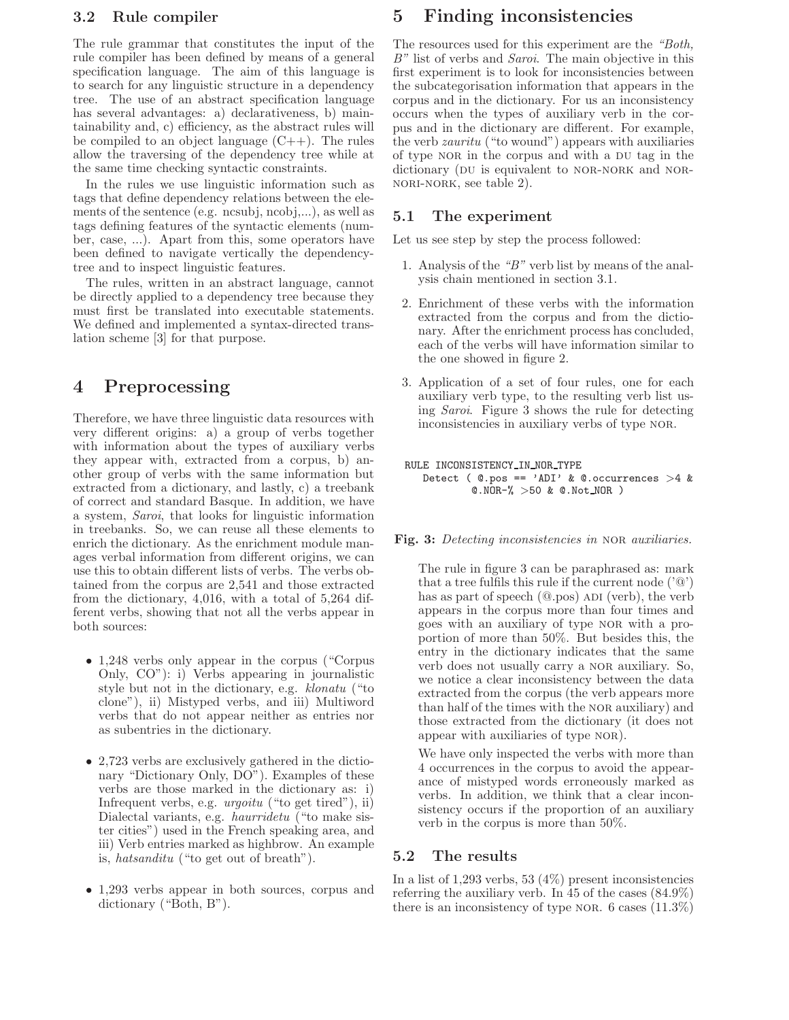### 3.2 Rule compiler

The rule grammar that constitutes the input of the rule compiler has been defined by means of a general specification language. The aim of this language is to search for any linguistic structure in a dependency tree. The use of an abstract specification language has several advantages: a) declarativeness, b) maintainability and, c) efficiency, as the abstract rules will be compiled to an object language  $(C++)$ . The rules allow the traversing of the dependency tree while at the same time checking syntactic constraints.

In the rules we use linguistic information such as tags that define dependency relations between the elements of the sentence (e.g. ncsubj, ncobj,...), as well as tags defining features of the syntactic elements (number, case, ...). Apart from this, some operators have been defined to navigate vertically the dependencytree and to inspect linguistic features.

The rules, written in an abstract language, cannot be directly applied to a dependency tree because they must first be translated into executable statements. We defined and implemented a syntax-directed translation scheme [3] for that purpose.

# 4 Preprocessing

Therefore, we have three linguistic data resources with very different origins: a) a group of verbs together with information about the types of auxiliary verbs they appear with, extracted from a corpus, b) another group of verbs with the same information but extracted from a dictionary, and lastly, c) a treebank of correct and standard Basque. In addition, we have a system, Saroi, that looks for linguistic information in treebanks. So, we can reuse all these elements to enrich the dictionary. As the enrichment module manages verbal information from different origins, we can use this to obtain different lists of verbs. The verbs obtained from the corpus are 2,541 and those extracted from the dictionary, 4,016, with a total of 5,264 different verbs, showing that not all the verbs appear in both sources:

- 1,248 verbs only appear in the corpus ("Corpus Only, CO"): i) Verbs appearing in journalistic style but not in the dictionary, e.g. klonatu ("to clone"), ii) Mistyped verbs, and iii) Multiword verbs that do not appear neither as entries nor as subentries in the dictionary.
- 2,723 verbs are exclusively gathered in the dictionary "Dictionary Only, DO"). Examples of these verbs are those marked in the dictionary as: i) Infrequent verbs, e.g. urgoitu ("to get tired"), ii) Dialectal variants, e.g. haurridetu ("to make sister cities") used in the French speaking area, and iii) Verb entries marked as highbrow. An example is, hatsanditu ("to get out of breath").
- 1,293 verbs appear in both sources, corpus and dictionary ("Both, B").

# 5 Finding inconsistencies

The resources used for this experiment are the "Both, B" list of verbs and Saroi. The main objective in this first experiment is to look for inconsistencies between the subcategorisation information that appears in the corpus and in the dictionary. For us an inconsistency occurs when the types of auxiliary verb in the corpus and in the dictionary are different. For example, the verb zauritu ("to wound") appears with auxiliaries of type NOR in the corpus and with a DU tag in the dictionary (DU is equivalent to NOR-NORK and NORnori-nork, see table 2).

### 5.1 The experiment

Let us see step by step the process followed:

- 1. Analysis of the "B" verb list by means of the analysis chain mentioned in section 3.1.
- 2. Enrichment of these verbs with the information extracted from the corpus and from the dictionary. After the enrichment process has concluded, each of the verbs will have information similar to the one showed in figure 2.
- 3. Application of a set of four rules, one for each auxiliary verb type, to the resulting verb list using Saroi. Figure 3 shows the rule for detecting inconsistencies in auxiliary verbs of type NOR.

#### RULE INCONSISTENCY\_IN\_NOR\_TYPE

```
Detect ( @.pos == 'ADI' & @.occurrentences >4 &@.NOR-% >50 & @.Not NOR )
```
Fig. 3: Detecting inconsistencies in NOR auxiliaries.

The rule in figure 3 can be paraphrased as: mark that a tree fulfils this rule if the current node  $(2\omega)$ has as part of speech  $(@.pos)$  ADI (verb), the verb appears in the corpus more than four times and goes with an auxiliary of type nor with a proportion of more than 50%. But besides this, the entry in the dictionary indicates that the same verb does not usually carry a nor auxiliary. So, we notice a clear inconsistency between the data extracted from the corpus (the verb appears more than half of the times with the nor auxiliary) and those extracted from the dictionary (it does not appear with auxiliaries of type nor).

We have only inspected the verbs with more than 4 occurrences in the corpus to avoid the appearance of mistyped words erroneously marked as verbs. In addition, we think that a clear inconsistency occurs if the proportion of an auxiliary verb in the corpus is more than 50%.

### 5.2 The results

In a list of 1,293 verbs, 53  $(4\%)$  present inconsistencies referring the auxiliary verb. In 45 of the cases (84.9%) there is an inconsistency of type NOR. 6 cases  $(11.3\%)$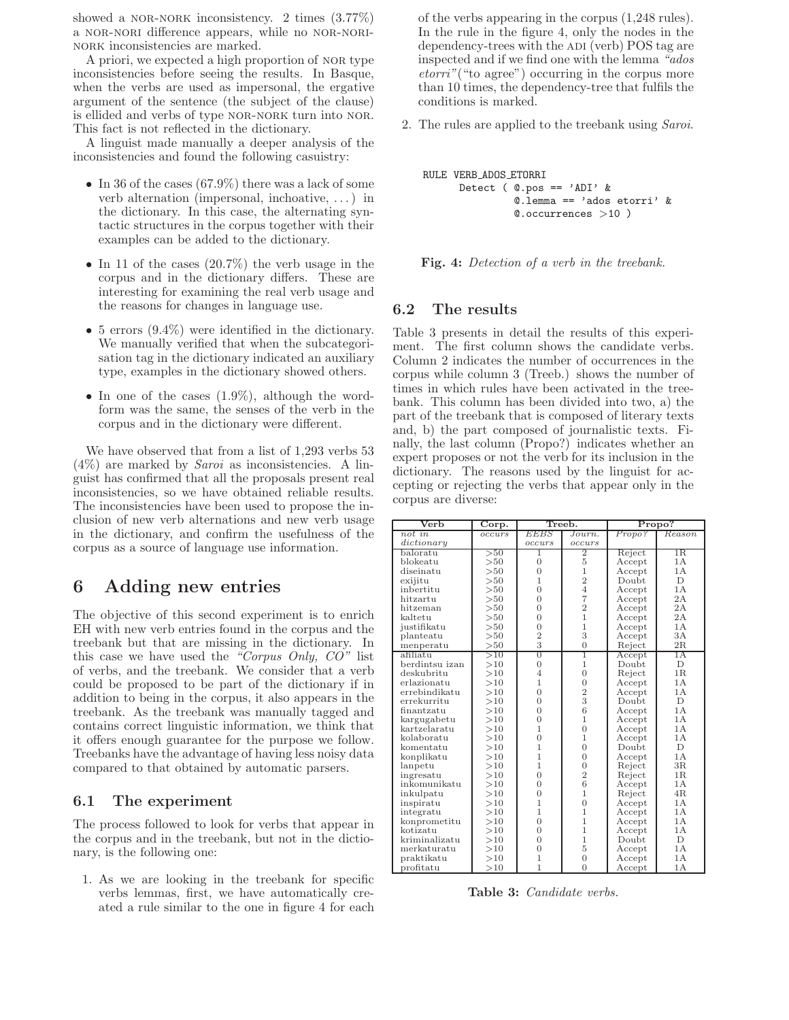showed a NOR-NORK inconsistency. 2 times  $(3.77\%)$ a nor-nori difference appears, while no nor-norinork inconsistencies are marked.

A priori, we expected a high proportion of nor type inconsistencies before seeing the results. In Basque, when the verbs are used as impersonal, the ergative argument of the sentence (the subject of the clause) is ellided and verbs of type NOR-NORK turn into NOR. This fact is not reflected in the dictionary.

A linguist made manually a deeper analysis of the inconsistencies and found the following casuistry:

- In 36 of the cases (67.9%) there was a lack of some verb alternation (impersonal, inchoative, . . . ) in the dictionary. In this case, the alternating syntactic structures in the corpus together with their examples can be added to the dictionary.
- In 11 of the cases (20.7%) the verb usage in the corpus and in the dictionary differs. These are interesting for examining the real verb usage and the reasons for changes in language use.
- 5 errors  $(9.4\%)$  were identified in the dictionary. We manually verified that when the subcategorisation tag in the dictionary indicated an auxiliary type, examples in the dictionary showed others.
- In one of the cases  $(1.9\%)$ , although the wordform was the same, the senses of the verb in the corpus and in the dictionary were different.

We have observed that from a list of 1,293 verbs 53  $(4\%)$  are marked by *Saroi* as inconsistencies. A linguist has confirmed that all the proposals present real inconsistencies, so we have obtained reliable results. The inconsistencies have been used to propose the inclusion of new verb alternations and new verb usage in the dictionary, and confirm the usefulness of the corpus as a source of language use information.

# 6 Adding new entries

The objective of this second experiment is to enrich EH with new verb entries found in the corpus and the treebank but that are missing in the dictionary. In this case we have used the "Corpus Only,  $CO$ " list of verbs, and the treebank. We consider that a verb could be proposed to be part of the dictionary if in addition to being in the corpus, it also appears in the treebank. As the treebank was manually tagged and contains correct linguistic information, we think that it offers enough guarantee for the purpose we follow. Treebanks have the advantage of having less noisy data compared to that obtained by automatic parsers.

### 6.1 The experiment

The process followed to look for verbs that appear in the corpus and in the treebank, but not in the dictionary, is the following one:

1. As we are looking in the treebank for specific verbs lemmas, first, we have automatically created a rule similar to the one in figure 4 for each of the verbs appearing in the corpus (1,248 rules). In the rule in the figure 4, only the nodes in the dependency-trees with the ADI (verb) POS tag are inspected and if we find one with the lemma "ados etorri"("to agree") occurring in the corpus more than 10 times, the dependency-tree that fulfils the conditions is marked.

2. The rules are applied to the treebank using Saroi.

```
RULE VERB ADOS ETORRI
     Detect (@.pos == 'ADI' &
               @.lemma == 'ados etorri' &
               @.occurrences >10 )
```
Fig. 4: Detection of a verb in the treebank.

#### 6.2 The results

Table 3 presents in detail the results of this experiment. The first column shows the candidate verbs. Column 2 indicates the number of occurrences in the corpus while column 3 (Treeb.) shows the number of times in which rules have been activated in the treebank. This column has been divided into two, a) the part of the treebank that is composed of literary texts and, b) the part composed of journalistic texts. Finally, the last column (Propo?) indicates whether an expert proposes or not the verb for its inclusion in the dictionary. The reasons used by the linguist for accepting or rejecting the verbs that appear only in the corpus are diverse:

| Verb           | Corp.  | Treeb.         |                | Propo? |        |
|----------------|--------|----------------|----------------|--------|--------|
| not in         | occurs | EEBS           | Journ.         | Propo? | Reason |
| dictionary     |        | occurs         | occurs         |        |        |
| baloratu       | >50    | 1              | $\overline{2}$ | Reject | 1R.    |
| blokeatu       | >50    | $\overline{0}$ | 5              | Accept | 1A     |
| diseinatu      | >50    | $\overline{0}$ | $\mathbf{1}$   | Accept | 1A     |
| exijitu        | >50    | 1              | $\overline{2}$ | Doubt  | D.     |
| inbertitu      | >50    | $\overline{0}$ | $\overline{4}$ | Accept | 1A     |
| hitzartu       | >50    | $\overline{0}$ | $\overline{7}$ | Accept | 2A     |
| hitzeman       | >50    | $\overline{0}$ | $\overline{2}$ | Accept | 2A     |
| kaltetu        | >50    | $\overline{0}$ | $\mathbf{1}$   | Accept | 2A     |
| iustifikatu    | >50    | $\overline{0}$ | $\mathbf{1}$   | Accept | 1A     |
| planteatu      | >50    | $\frac{2}{3}$  | 3              | Accept | 3A     |
| menperatu      | >50    |                | $\overline{0}$ | Reject | 2R     |
| afiliatu       | >10    | 0              | T              | Accept | 1A     |
| berdintsu izan | >10    | $\overline{0}$ | $\mathbf{1}$   | Doubt  | D      |
| deskubritu     | >10    | $\overline{4}$ | $\overline{0}$ | Reject | 1R     |
| erlazionatu    | >10    | $\overline{1}$ | $\overline{0}$ | Accept | 1A     |
| errebindikatu  | >10    | $\overline{0}$ | $\frac{2}{3}$  | Accept | 1A     |
| errekurritu    | >10    | $\overline{0}$ |                | Doubt  | D      |
| finantzatu     | >10    | $\Omega$       | 6              | Accept | 1 A    |
| kargugabetu    | >10    | $\Omega$       | $\mathbf{1}$   | Accept | 1 A    |
| kartzelaratu   | >10    | 1              | $\overline{0}$ | Accept | 1A     |
| kolaboratu     | >10    | $\Omega$       | $\mathbf{1}$   | Accept | 1A     |
| komentatu      | >10    | 1              | $\Omega$       | Doubt  | D      |
| konplikatu     | >10    | 1              | $\overline{0}$ | Accept | 1A     |
| lanpetu        | >10    | 1              | $\overline{0}$ | Reject | 3R     |
| ingresatu      | >10    | $\overline{0}$ | $\overline{2}$ | Reject | 1R     |
| inkomunikatu   | >10    | $\overline{0}$ | 6              | Accept | 1A     |
| inkulpatu      | >10    | $\overline{0}$ | $\mathbf{1}$   | Reject | 4R     |
| inspiratu      | >10    | $\mathbf{1}$   | $\overline{0}$ | Accept | 1A     |
| integratu      | >10    | $\overline{1}$ | $\mathbf{1}$   | Accept | 1A     |
| konprometitu   | >10    | $\overline{0}$ | $\mathbf{1}$   | Accept | 1A     |
| kotizatu       | >10    | $\overline{0}$ | $\mathbf{1}$   | Accept | 1 A    |
| kriminalizatu  | >10    | $\overline{0}$ | $\mathbf{1}$   | Doubt  | D.     |
| merkaturatu    | >10    | $\overline{0}$ | 5              | Accept | 1A     |
| praktikatu     | >10    | 1              | $\overline{0}$ | Accept | 1A     |
| profitatu      | >10    | $\overline{1}$ | $\overline{0}$ | Accept | 1A     |

Table 3: Candidate verbs.